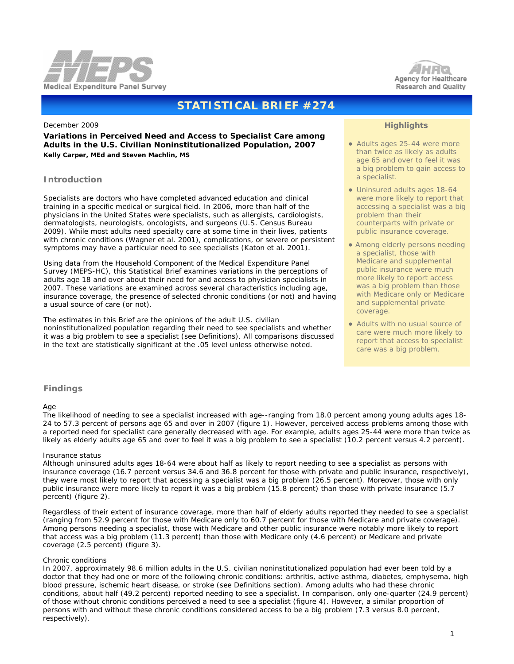



# **STATISTICAL BRIEF #274**

#### December 2009

**Variations in Perceived Need and Access to Specialist Care among Adults in the U.S. Civilian Noninstitutionalized Population, 2007** *Kelly Carper, MEd and Steven Machlin, MS* 

## **Introduction**

Specialists are doctors who have completed advanced education and clinical training in a specific medical or surgical field. In 2006, more than half of the physicians in the United States were specialists, such as allergists, cardiologists, dermatologists, neurologists, oncologists, and surgeons (U.S. Census Bureau 2009). While most adults need specialty care at some time in their lives, patients with chronic conditions (Wagner et al. 2001), complications, or severe or persistent symptoms may have a particular need to see specialists (Katon et al. 2001).

Using data from the Household Component of the Medical Expenditure Panel Survey (MEPS-HC), this Statistical Brief examines variations in the perceptions of adults age 18 and over about their need for and access to physician specialists in 2007. These variations are examined across several characteristics including age, insurance coverage, the presence of selected chronic conditions (or not) and having a usual source of care (or not).

The estimates in this Brief are the opinions of the adult U.S. civilian noninstitutionalized population regarding their need to see specialists and whether it was a big problem to see a specialist (see Definitions). All comparisons discussed in the text are statistically significant at the .05 level unless otherwise noted.

## **Highlights**

- Adults ages 25-44 were more than twice as likely as adults age 65 and over to feel it was a big problem to gain access to a specialist.
- Uninsured adults ages 18-64 were more likely to report that accessing a specialist was a big problem than their counterparts with private or public insurance coverage.
- Among elderly persons needing a specialist, those with Medicare and supplemental public insurance were much more likely to report access was a big problem than those with Medicare only or Medicare and supplemental private coverage.
- Adults with no usual source of care were much more likely to report that access to specialist care was a big problem.

## **Findings**

#### *Age*

 The likelihood of needing to see a specialist increased with age--ranging from 18.0 percent among young adults ages 18- 24 to 57.3 percent of persons age 65 and over in 2007 (figure 1). However, perceived access problems among those with a reported need for specialist care generally decreased with age. For example, adults ages 25-44 were more than twice as likely as elderly adults age 65 and over to feel it was a big problem to see a specialist (10.2 percent versus 4.2 percent).

#### *Insurance status*

 Although uninsured adults ages 18-64 were about half as likely to report needing to see a specialist as persons with insurance coverage (16.7 percent versus 34.6 and 36.8 percent for those with private and public insurance, respectively), they were most likely to report that accessing a specialist was a big problem (26.5 percent). Moreover, those with only public insurance were more likely to report it was a big problem (15.8 percent) than those with private insurance (5.7 percent) (figure 2).

 Regardless of their extent of insurance coverage, more than half of elderly adults reported they needed to see a specialist (ranging from 52.9 percent for those with Medicare only to 60.7 percent for those with Medicare and private coverage). Among persons needing a specialist, those with Medicare and other public insurance were notably more likely to report that access was a big problem (11.3 percent) than those with Medicare only (4.6 percent) or Medicare and private coverage (2.5 percent) (figure 3).

#### *Chronic conditions*

 In 2007, approximately 98.6 million adults in the U.S. civilian noninstitutionalized population had ever been told by a doctor that they had one or more of the following chronic conditions: arthritis, active asthma, diabetes, emphysema, high blood pressure, ischemic heart disease, or stroke (see Definitions section). Among adults who had these chronic conditions, about half (49.2 percent) reported needing to see a specialist. In comparison, only one-quarter (24.9 percent) of those without chronic conditions perceived a need to see a specialist (figure 4). However, a similar proportion of persons with and without these chronic conditions considered access to be a big problem (7.3 versus 8.0 percent, respectively).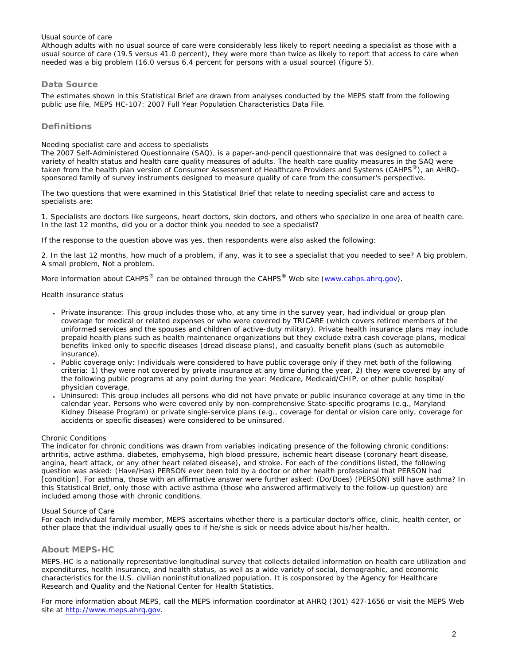### *Usual source of care*

Although adults with no usual source of care were considerably less likely to report needing a specialist as those with a usual source of care (19.5 versus 41.0 percent), they were more than twice as likely to report that access to care when needed was a big problem (16.0 versus 6.4 percent for persons with a usual source) (figure 5).

## **Data Source**

The estimates shown in this Statistical Brief are drawn from analyses conducted by the MEPS staff from the following public use file, MEPS HC-107: 2007 Full Year Population Characteristics Data File.

## **Definitions**

### *Needing specialist care and access to specialists*

The 2007 Self-Administered Questionnaire (SAQ), is a paper-and-pencil questionnaire that was designed to collect a variety of health status and health care quality measures of adults. The health care quality measures in the SAQ were taken from the health plan version of Consumer Assessment of Healthcare Providers and Systems (CAHPS<sup>®</sup>), an AHRQsponsored family of survey instruments designed to measure quality of care from the consumer's perspective.

The two questions that were examined in this Statistical Brief that relate to needing specialist care and access to specialists are:

1. Specialists are doctors like surgeons, heart doctors, skin doctors, and others who specialize in one area of health care. In the last 12 months, did you or a doctor think you needed to see a specialist?

If the response to the question above was yes, then respondents were also asked the following:

2. In the last 12 months, how much of a problem, if any, was it to see a specialist that you needed to see? A big problem, A small problem, Not a problem.

More information about CAHPS<sup>®</sup> can be obtained through the CAHPS<sup>®</sup> Web site (www.cahps.ahrg.gov).

#### *Health insurance status*

- Private insurance: This group includes those who, at any time in the survey year, had individual or group plan coverage for medical or related expenses or who were covered by TRICARE (which covers retired members of the uniformed services and the spouses and children of active-duty military). Private health insurance plans may include prepaid health plans such as health maintenance organizations but they exclude extra cash coverage plans, medical benefits linked only to specific diseases (dread disease plans), and casualty benefit plans (such as automobile insurance).
- Public coverage only: Individuals were considered to have public coverage only if they met both of the following criteria: 1) they were not covered by private insurance at any time during the year, 2) they were covered by any of the following public programs at any point during the year: Medicare, Medicaid/CHIP, or other public hospital/ physician coverage.
- Uninsured: This group includes all persons who did not have private or public insurance coverage at any time in the calendar year. Persons who were covered only by non-comprehensive State-specific programs (e.g., Maryland Kidney Disease Program) or private single-service plans (e.g., coverage for dental or vision care only, coverage for accidents or specific diseases) were considered to be uninsured.

#### *Chronic Conditions*

The indicator for chronic conditions was drawn from variables indicating presence of the following chronic conditions: arthritis, active asthma, diabetes, emphysema, high blood pressure, ischemic heart disease (coronary heart disease, angina, heart attack, or any other heart related disease), and stroke. For each of the conditions listed, the following question was asked: *(Have/Has) PERSON ever been told by a doctor or other health professional that PERSON had [condition]*. For asthma, those with an affirmative answer were further asked: *(Do/Does) (PERSON) still have asthma?* In this Statistical Brief, only those with active asthma (those who answered affirmatively to the follow-up question) are included among those with chronic conditions.

#### *Usual Source of Care*

For each individual family member, MEPS ascertains whether there is a particular doctor's office, clinic, health center, or other place that the individual usually goes to if he/she is sick or needs advice about his/her health.

### **About MEPS-HC**

MEPS-HC is a nationally representative longitudinal survey that collects detailed information on health care utilization and expenditures, health insurance, and health status, as well as a wide variety of social, demographic, and economic characteristics for the U.S. civilian noninstitutionalized population. It is cosponsored by the Agency for Healthcare Research and Quality and the National Center for Health Statistics.

For more information about MEPS, call the MEPS information coordinator at AHRQ (301) 427-1656 or visit the MEPS Web site at [http://www.meps.ahrq.gov](http://www.meps.ahrq.gov/).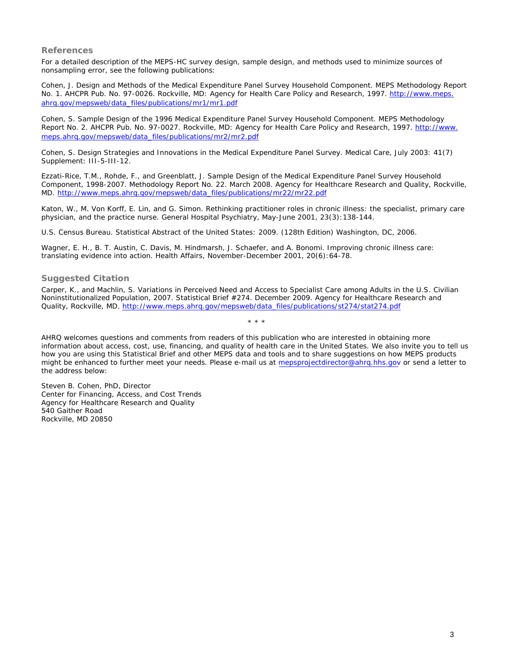## **References**

For a detailed description of the MEPS-HC survey design, sample design, and methods used to minimize sources of nonsampling error, see the following publications:

Cohen, J. *Design and Methods of the Medical Expenditure Panel Survey Household Component*. MEPS Methodology Report No. 1. AHCPR Pub. No. 97-0026. Rockville, MD: Agency for Health Care Policy and Research, 1997. [http://www.meps.](http://www.meps.ahrq.gov/mepsweb/data_files/publications/mr1/mr1.pdf) [ahrq.gov/mepsweb/data\\_files/publications/mr1/mr1.pdf](http://www.meps.ahrq.gov/mepsweb/data_files/publications/mr1/mr1.pdf) 

Cohen, S. *Sample Design of the 1996 Medical Expenditure Panel Survey Household Component*. MEPS Methodology Report No. 2. AHCPR Pub. No. 97-0027. Rockville, MD: Agency for Health Care Policy and Research, 1997. [http://www.](http://www.meps.ahrq.gov/mepsweb/data_files/publications/mr2/mr2.pdf) [meps.ahrq.gov/mepsweb/data\\_files/publications/mr2/mr2.pdf](http://www.meps.ahrq.gov/mepsweb/data_files/publications/mr2/mr2.pdf)

Cohen, S. Design Strategies and Innovations in the Medical Expenditure Panel Survey. *Medical Care*, July 2003: 41(7) Supplement: III-5-III-12.

Ezzati-Rice, T.M., Rohde, F., and Greenblatt, J. *Sample Design of the Medical Expenditure Panel Survey Household Component, 1998-2007*. Methodology Report No. 22. March 2008. Agency for Healthcare Research and Quality, Rockville, MD. [http://www.meps.ahrq.gov/mepsweb/data\\_files/publications/mr22/mr22.pdf](http://www.meps.ahrq.gov/mepsweb/data_files/publications/mr22/mr22.pdf)

Katon, W., M. Von Korff, E. Lin, and G. Simon. Rethinking practitioner roles in chronic illness: the specialist, primary care physician, and the practice nurse. *General Hospital Psychiatry*, May-June 2001, 23(3):138-144.

U.S. Census Bureau. *Statistical Abstract of the United States: 2009*. (128th Edition) Washington, DC, 2006.

Wagner, E. H., B. T. Austin, C. Davis, M. Hindmarsh, J. Schaefer, and A. Bonomi. Improving chronic illness care: translating evidence into action. *Health Affairs*, November-December 2001, 20(6):64-78.

## **Suggested Citation**

Carper, K., and Machlin, S. *Variations in Perceived Need and Access to Specialist Care among Adults in the U.S. Civilian Noninstitutionalized Population, 2007*. Statistical Brief #274. December 2009. Agency for Healthcare Research and Quality, Rockville, MD. [http://www.meps.ahrq.gov/mepsweb/data\\_files/publications/st274/stat274.pdf](http://www.meps.ahrq.gov/mepsweb/data_files/publications/st274/stat274.pdf)

AHRQ welcomes questions and comments from readers of this publication who are interested in obtaining more information about access, cost, use, financing, and quality of health care in the United States. We also invite you to tell us how you are using this Statistical Brief and other MEPS data and tools and to share suggestions on how MEPS products might be enhanced to further meet your needs. Please e-mail us at mepsprojectdirector@ahrq.hhs.gov or send a letter to the address below:

\* \* \*

Steven B. Cohen, PhD, Director Center for Financing, Access, and Cost Trends Agency for Healthcare Research and Quality 540 Gaither Road Rockville, MD 20850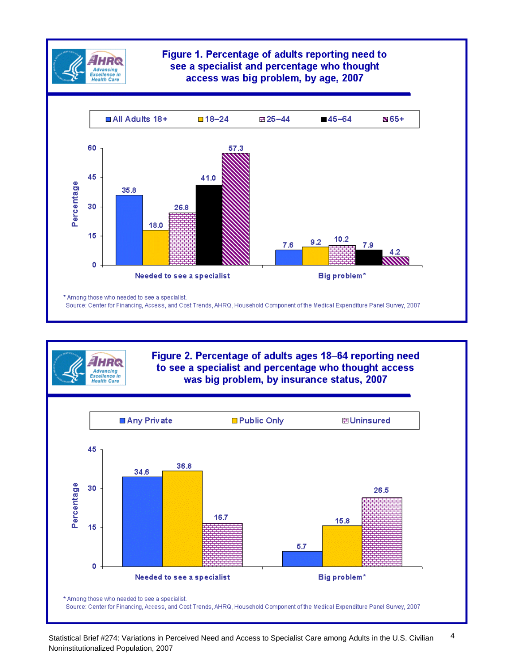

**Advancing** Excellence in

## Figure 1. Percentage of adults reporting need to see a specialist and percentage who thought access was big problem, by age, 2007



## Figure 2. Percentage of adults ages 18-64 reporting need to see a specialist and percentage who thought access was big problem, by insurance status, 2007

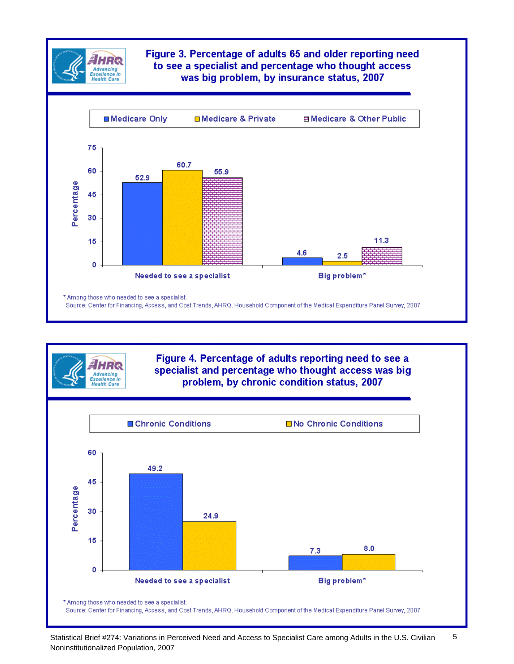

Advancing<br>xcellence in

**Health Care** 

## Figure 3. Percentage of adults 65 and older reporting need to see a specialist and percentage who thought access was big problem, by insurance status, 2007



## Figure 4. Percentage of adults reporting need to see a specialist and percentage who thought access was big problem, by chronic condition status, 2007